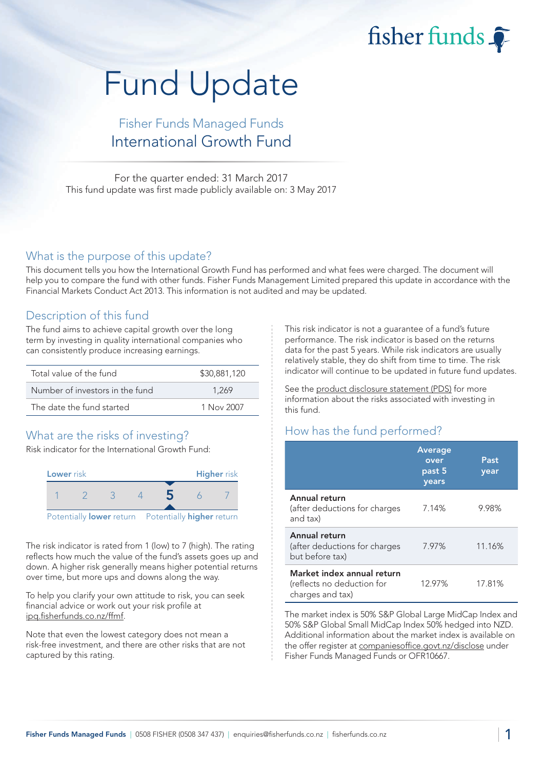fisher funds

# Fund Update

## Fisher Funds Managed Funds International Growth Fund

For the quarter ended: 31 March 2017 This fund update was first made publicly available on: 3 May 2017

#### What is the purpose of this update?

This document tells you how the International Growth Fund has performed and what fees were charged. The document will help you to compare the fund with other funds. Fisher Funds Management Limited prepared this update in accordance with the Financial Markets Conduct Act 2013. This information is not audited and may be updated.

### Description of this fund

The fund aims to achieve capital growth over the long term by investing in quality international companies who can consistently produce increasing earnings.

| Total value of the fund         | \$30,881,120 |
|---------------------------------|--------------|
| Number of investors in the fund | 1.269        |
| The date the fund started       | 1 Nov 2007   |

## What are the risks of investing?

Risk indicator for the International Growth Fund:



The risk indicator is rated from 1 (low) to 7 (high). The rating reflects how much the value of the fund's assets goes up and down. A higher risk generally means higher potential returns over time, but more ups and downs along the way.

To help you clarify your own attitude to risk, you can seek financial advice or work out your risk profile at [ipq.fisherfunds.co.nz/ffmf.](https://ipq.fisherfunds.co.nz/ffmf)

Note that even the lowest category does not mean a risk-free investment, and there are other risks that are not captured by this rating.

This risk indicator is not a guarantee of a fund's future performance. The risk indicator is based on the returns data for the past 5 years. While risk indicators are usually relatively stable, they do shift from time to time. The risk indicator will continue to be updated in future fund updates.

See the [product disclosure statement \(PDS\)](https://fisherfunds.co.nz/assets/PDS/Fisher-Funds-Managed-Funds-PDS.pdf) for more information about the risks associated with investing in this fund.

## How has the fund performed?

|                                                                              | Average<br>over<br>past 5<br>years | Past<br>year |
|------------------------------------------------------------------------------|------------------------------------|--------------|
| Annual return<br>(after deductions for charges<br>and tax)                   | 7.14%                              | 9.98%        |
| Annual return<br>(after deductions for charges<br>but before tax)            | 7.97%                              | 11.16%       |
| Market index annual return<br>(reflects no deduction for<br>charges and tax) | 12.97%                             | 17.81%       |

The market index is 50% S&P Global Large MidCap Index and 50% S&P Global Small MidCap Index 50% hedged into NZD. Additional information about the market index is available on the offer register at [companiesoffice.govt.nz/disclose](http://companiesoffice.govt.nz/disclose) under Fisher Funds Managed Funds or OFR10667.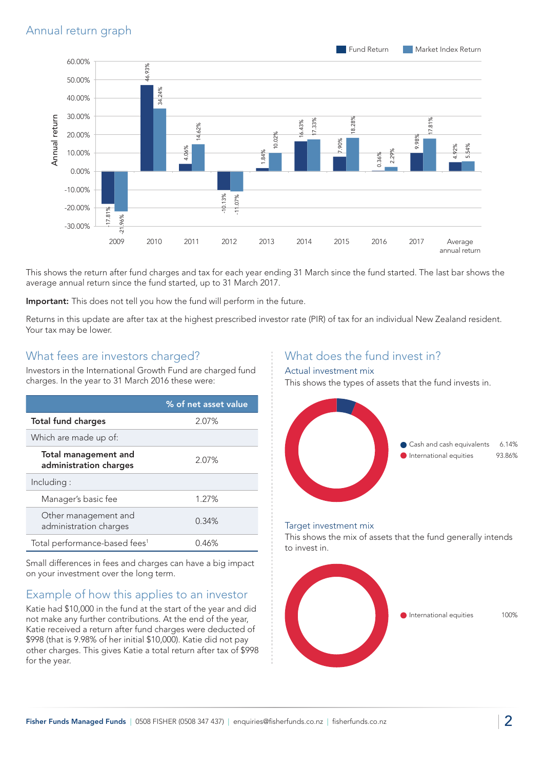

This shows the return after fund charges and tax for each year ending 31 March since the fund started. The last bar shows the average annual return since the fund started, up to 31 March 2017.

Important: This does not tell you how the fund will perform in the future.

Returns in this update are after tax at the highest prescribed investor rate (PIR) of tax for an individual New Zealand resident. Your tax may be lower.

#### What fees are investors charged?

Investors in the International Growth Fund are charged fund charges. In the year to 31 March 2016 these were:

|                                                       | % of net asset value |
|-------------------------------------------------------|----------------------|
| <b>Total fund charges</b>                             | 2.07%                |
| Which are made up of:                                 |                      |
| <b>Total management and</b><br>administration charges | 2.07%                |
| Including:                                            |                      |
| Manager's basic fee                                   | 1.27%                |
| Other management and<br>administration charges        | 0.34%                |
| Total performance-based fees <sup>1</sup>             | 0.46%                |

Small differences in fees and charges can have a big impact on your investment over the long term.

## Example of how this applies to an investor

Katie had \$10,000 in the fund at the start of the year and did not make any further contributions. At the end of the year, Katie received a return after fund charges were deducted of \$998 (that is 9.98% of her initial \$10,000). Katie did not pay other charges. This gives Katie a total return after tax of \$998 for the year.

## What does the fund invest in?

#### Actual investment mix

This shows the types of assets that the fund invests in.



#### Target investment mix

This shows the mix of assets that the fund generally intends to invest in.